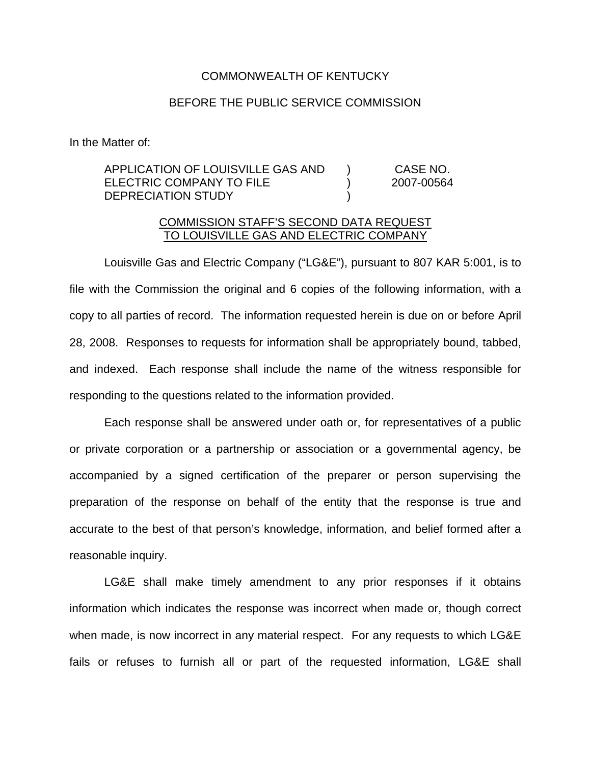## COMMONWEALTH OF KENTUCKY

## BEFORE THE PUBLIC SERVICE COMMISSION

In the Matter of:

## APPLICATION OF LOUISVILLE GAS AND ELECTRIC COMPANY TO FILE DEPRECIATION STUDY ) ) ) CASE NO. 2007-00564

## COMMISSION STAFF'S SECOND DATA REQUEST TO LOUISVILLE GAS AND ELECTRIC COMPANY

Louisville Gas and Electric Company ("LG&E"), pursuant to 807 KAR 5:001, is to file with the Commission the original and 6 copies of the following information, with a copy to all parties of record. The information requested herein is due on or before April 28, 2008. Responses to requests for information shall be appropriately bound, tabbed, and indexed. Each response shall include the name of the witness responsible for responding to the questions related to the information provided.

Each response shall be answered under oath or, for representatives of a public or private corporation or a partnership or association or a governmental agency, be accompanied by a signed certification of the preparer or person supervising the preparation of the response on behalf of the entity that the response is true and accurate to the best of that person's knowledge, information, and belief formed after a reasonable inquiry.

LG&E shall make timely amendment to any prior responses if it obtains information which indicates the response was incorrect when made or, though correct when made, is now incorrect in any material respect. For any requests to which LG&E fails or refuses to furnish all or part of the requested information, LG&E shall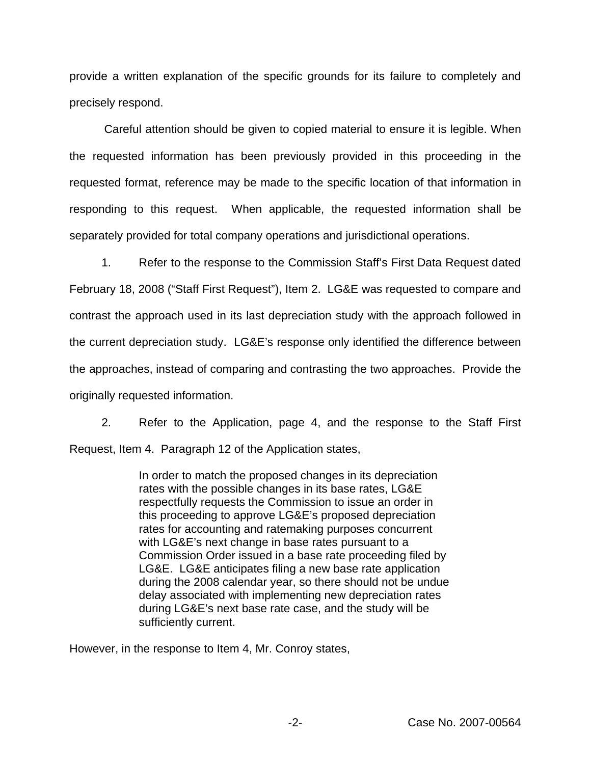provide a written explanation of the specific grounds for its failure to completely and precisely respond.

Careful attention should be given to copied material to ensure it is legible. When the requested information has been previously provided in this proceeding in the requested format, reference may be made to the specific location of that information in responding to this request. When applicable, the requested information shall be separately provided for total company operations and jurisdictional operations.

1. Refer to the response to the Commission Staff's First Data Request dated February 18, 2008 ("Staff First Request"), Item 2. LG&E was requested to compare and contrast the approach used in its last depreciation study with the approach followed in the current depreciation study. LG&E's response only identified the difference between the approaches, instead of comparing and contrasting the two approaches. Provide the originally requested information.

2. Refer to the Application, page 4, and the response to the Staff First Request, Item 4. Paragraph 12 of the Application states,

> In order to match the proposed changes in its depreciation rates with the possible changes in its base rates, LG&E respectfully requests the Commission to issue an order in this proceeding to approve LG&E's proposed depreciation rates for accounting and ratemaking purposes concurrent with LG&E's next change in base rates pursuant to a Commission Order issued in a base rate proceeding filed by LG&E. LG&E anticipates filing a new base rate application during the 2008 calendar year, so there should not be undue delay associated with implementing new depreciation rates during LG&E's next base rate case, and the study will be sufficiently current.

However, in the response to Item 4, Mr. Conroy states,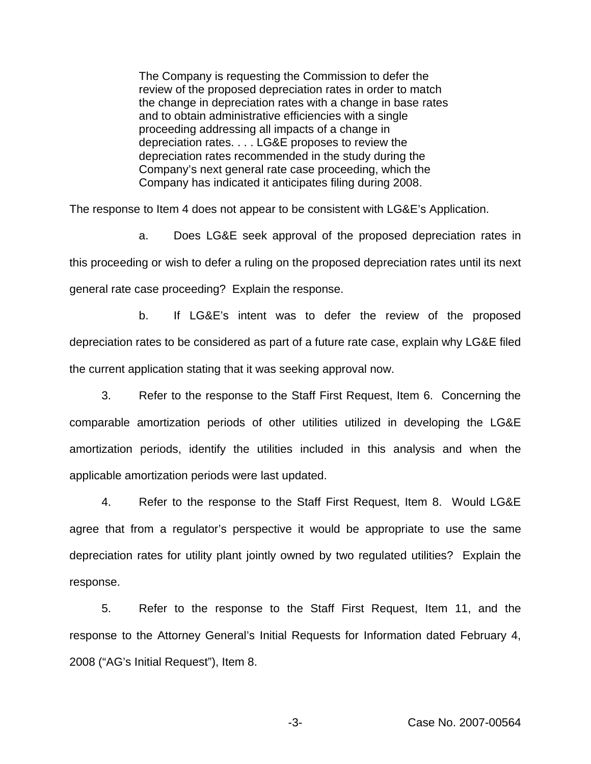The Company is requesting the Commission to defer the review of the proposed depreciation rates in order to match the change in depreciation rates with a change in base rates and to obtain administrative efficiencies with a single proceeding addressing all impacts of a change in depreciation rates. . . . LG&E proposes to review the depreciation rates recommended in the study during the Company's next general rate case proceeding, which the Company has indicated it anticipates filing during 2008.

The response to Item 4 does not appear to be consistent with LG&E's Application.

a. Does LG&E seek approval of the proposed depreciation rates in this proceeding or wish to defer a ruling on the proposed depreciation rates until its next general rate case proceeding? Explain the response.

b. If LG&E's intent was to defer the review of the proposed depreciation rates to be considered as part of a future rate case, explain why LG&E filed the current application stating that it was seeking approval now.

3. Refer to the response to the Staff First Request, Item 6. Concerning the comparable amortization periods of other utilities utilized in developing the LG&E amortization periods, identify the utilities included in this analysis and when the applicable amortization periods were last updated.

4. Refer to the response to the Staff First Request, Item 8. Would LG&E agree that from a regulator's perspective it would be appropriate to use the same depreciation rates for utility plant jointly owned by two regulated utilities? Explain the response.

5. Refer to the response to the Staff First Request, Item 11, and the response to the Attorney General's Initial Requests for Information dated February 4, 2008 ("AG's Initial Request"), Item 8.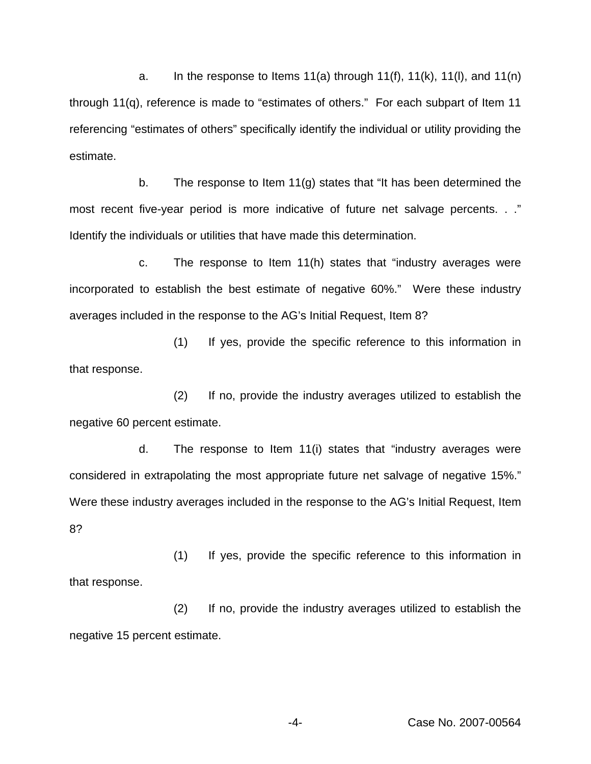a. In the response to Items 11(a) through 11(f), 11(k), 11(l), and 11(n) through 11(q), reference is made to "estimates of others." For each subpart of Item 11 referencing "estimates of others" specifically identify the individual or utility providing the estimate.

b. The response to Item 11(g) states that "It has been determined the most recent five-year period is more indicative of future net salvage percents. . ." Identify the individuals or utilities that have made this determination.

c. The response to Item 11(h) states that "industry averages were incorporated to establish the best estimate of negative 60%." Were these industry averages included in the response to the AG's Initial Request, Item 8?

(1) If yes, provide the specific reference to this information in that response.

(2) If no, provide the industry averages utilized to establish the negative 60 percent estimate.

d. The response to Item 11(i) states that "industry averages were considered in extrapolating the most appropriate future net salvage of negative 15%." Were these industry averages included in the response to the AG's Initial Request, Item 8?

(1) If yes, provide the specific reference to this information in that response.

(2) If no, provide the industry averages utilized to establish the negative 15 percent estimate.

-4- Case No. 2007-00564